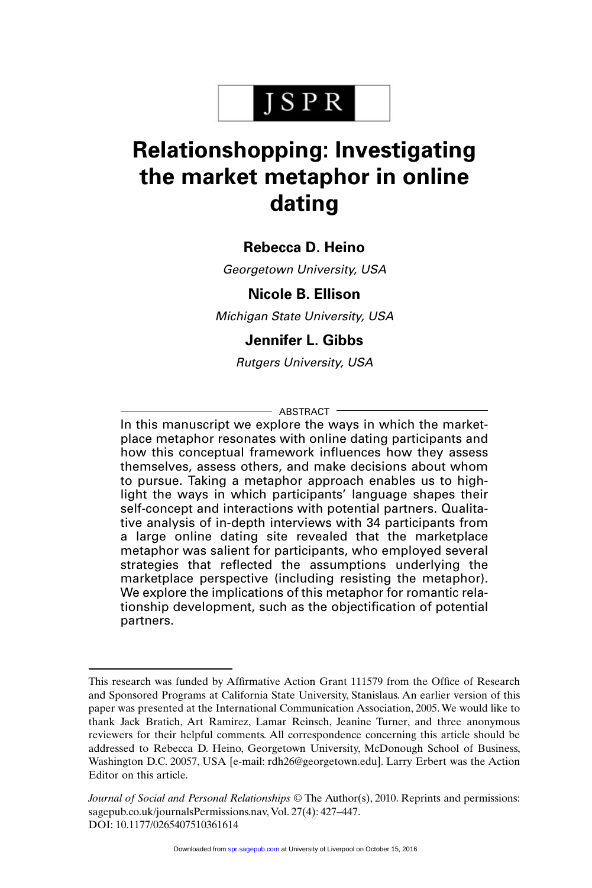# JSPR

## **Relationshopping: Investigating the market metaphor in online dating**

## **Rebecca D. Heino**

Georgetown University, USA

### **Nicole B. Ellison**

Michigan State University, USA

## **Jennifer L. Gibbs**

Rutgers University, USA

#### $-$  ABSTRACT  $-$

In this manuscript we explore the ways in which the marketplace metaphor resonates with online dating participants and how this conceptual framework influences how they assess themselves, assess others, and make decisions about whom to pursue. Taking a metaphor approach enables us to highlight the ways in which participants' language shapes their self-concept and interactions with potential partners. Qualitative analysis of in-depth interviews with 34 participants from a large online dating site revealed that the marketplace metaphor was salient for participants, who employed several strategies that reflected the assumptions underlying the marketplace perspective (including resisting the metaphor). We explore the implications of this metaphor for romantic relationship development, such as the objectification of potential partners.

This research was funded by Affirmative Action Grant 111579 from the Office of Research and Sponsored Programs at California State University, Stanislaus. An earlier version of this paper was presented at the International Communication Association, 2005. We would like to thank Jack Bratich, Art Ramirez, Lamar Reinsch, Jeanine Turner, and three anonymous reviewers for their helpful comments. All correspondence concerning this article should be addressed to Rebecca D. Heino, Georgetown University, McDonough School of Business, Washington D.C. 20057, USA [e-mail: rdh26@georgetown.edu]. Larry Erbert was the Action Editor on this article.

*Journal of Social and Personal Relationships* © The Author(s), 2010. Reprints and permissions: sagepub.co.uk/journalsPermissions.nav, Vol. 27(4): 427–447. DOI: 10.1177/0265407510361614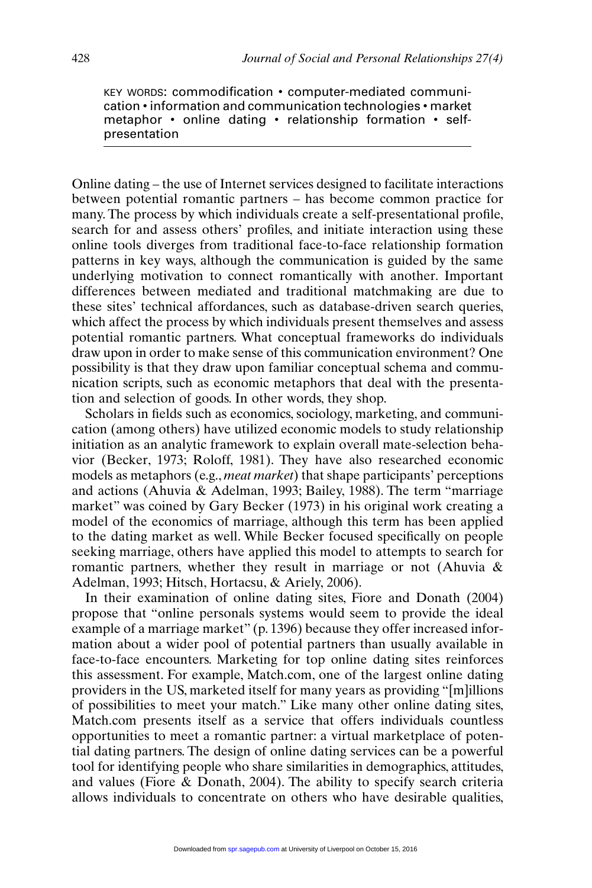KEY WORDS: commodification • computer-mediated communication • information and communication technologies • market metaphor • online dating • relationship formation • selfpresentation

Online dating – the use of Internet services designed to facilitate interactions between potential romantic partners – has become common practice for many. The process by which individuals create a self-presentational profile, search for and assess others' profiles, and initiate interaction using these online tools diverges from traditional face-to-face relationship formation patterns in key ways, although the communication is guided by the same underlying motivation to connect romantically with another. Important differences between mediated and traditional matchmaking are due to these sites' technical affordances, such as database-driven search queries, which affect the process by which individuals present themselves and assess potential romantic partners. What conceptual frameworks do individuals draw upon in order to make sense of this communication environment? One possibility is that they draw upon familiar conceptual schema and communication scripts, such as economic metaphors that deal with the presentation and selection of goods. In other words, they shop.

Scholars in fields such as economics, sociology, marketing, and communication (among others) have utilized economic models to study relationship initiation as an analytic framework to explain overall mate-selection behavior (Becker, 1973; Roloff, 1981). They have also researched economic models as metaphors (e.g., *meat market*) that shape participants' perceptions and actions (Ahuvia & Adelman, 1993; Bailey, 1988). The term "marriage market" was coined by Gary Becker (1973) in his original work creating a model of the economics of marriage, although this term has been applied to the dating market as well. While Becker focused specifically on people seeking marriage, others have applied this model to attempts to search for romantic partners, whether they result in marriage or not (Ahuvia & Adelman, 1993; Hitsch, Hortacsu, & Ariely, 2006).

In their examination of online dating sites, Fiore and Donath (2004) propose that "online personals systems would seem to provide the ideal example of a marriage market" (p. 1396) because they offer increased information about a wider pool of potential partners than usually available in face-to-face encounters. Marketing for top online dating sites reinforces this assessment. For example, Match.com, one of the largest online dating providers in the US, marketed itself for many years as providing "[m]illions of possibilities to meet your match." Like many other online dating sites, Match.com presents itself as a service that offers individuals countless opportunities to meet a romantic partner: a virtual marketplace of potential dating partners. The design of online dating services can be a powerful tool for identifying people who share similarities in demographics, attitudes, and values (Fiore & Donath, 2004). The ability to specify search criteria allows individuals to concentrate on others who have desirable qualities,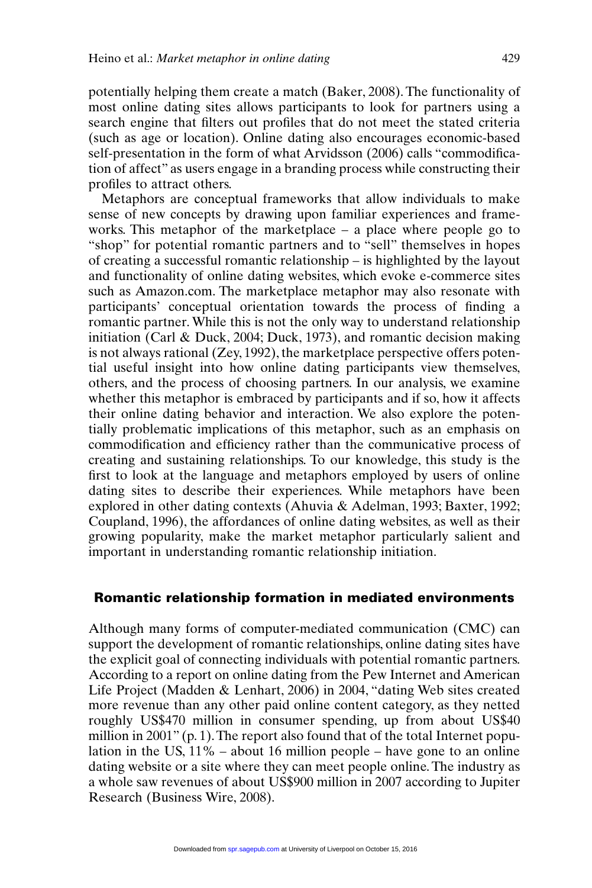potentially helping them create a match (Baker, 2008). The functionality of most online dating sites allows participants to look for partners using a search engine that filters out profiles that do not meet the stated criteria (such as age or location). Online dating also encourages economic-based self-presentation in the form of what Arvidsson (2006) calls "commodification of affect" as users engage in a branding process while constructing their profiles to attract others.

Metaphors are conceptual frameworks that allow individuals to make sense of new concepts by drawing upon familiar experiences and frameworks. This metaphor of the marketplace – a place where people go to "shop" for potential romantic partners and to "sell" themselves in hopes of creating a successful romantic relationship – is highlighted by the layout and functionality of online dating websites, which evoke e-commerce sites such as Amazon.com. The marketplace metaphor may also resonate with participants' conceptual orientation towards the process of finding a romantic partner. While this is not the only way to understand relationship initiation (Carl & Duck, 2004; Duck, 1973), and romantic decision making is not always rational (Zey, 1992), the marketplace perspective offers potential useful insight into how online dating participants view themselves, others, and the process of choosing partners. In our analysis, we examine whether this metaphor is embraced by participants and if so, how it affects their online dating behavior and interaction. We also explore the potentially problematic implications of this metaphor, such as an emphasis on commodification and efficiency rather than the communicative process of creating and sustaining relationships. To our knowledge, this study is the first to look at the language and metaphors employed by users of online dating sites to describe their experiences. While metaphors have been explored in other dating contexts (Ahuvia & Adelman, 1993; Baxter, 1992; Coupland, 1996), the affordances of online dating websites, as well as their growing popularity, make the market metaphor particularly salient and important in understanding romantic relationship initiation.

#### **Romantic relationship formation in mediated environments**

Although many forms of computer-mediated communication (CMC) can support the development of romantic relationships, online dating sites have the explicit goal of connecting individuals with potential romantic partners. According to a report on online dating from the Pew Internet and American Life Project (Madden & Lenhart, 2006) in 2004, "dating Web sites created more revenue than any other paid online content category, as they netted roughly US\$470 million in consumer spending, up from about US\$40 million in 2001" (p. 1). The report also found that of the total Internet population in the US,  $11\%$  – about 16 million people – have gone to an online dating website or a site where they can meet people online. The industry as a whole saw revenues of about US\$900 million in 2007 according to Jupiter Research (Business Wire, 2008).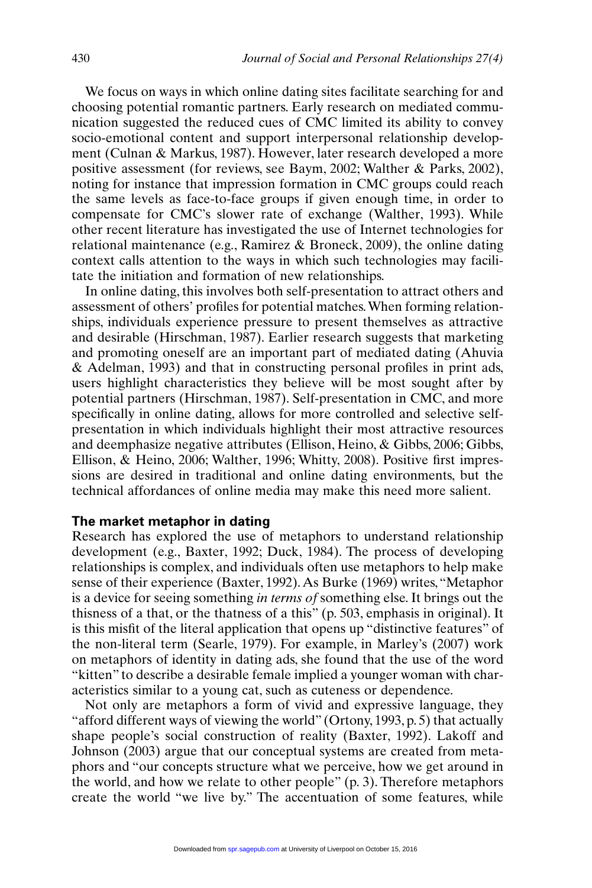We focus on ways in which online dating sites facilitate searching for and choosing potential romantic partners. Early research on mediated communication suggested the reduced cues of CMC limited its ability to convey socio-emotional content and support interpersonal relationship development (Culnan & Markus, 1987). However, later research developed a more positive assessment (for reviews, see Baym, 2002; Walther & Parks, 2002), noting for instance that impression formation in CMC groups could reach the same levels as face-to-face groups if given enough time, in order to compensate for CMC's slower rate of exchange (Walther, 1993). While other recent literature has investigated the use of Internet technologies for relational maintenance (e.g., Ramirez & Broneck, 2009), the online dating context calls attention to the ways in which such technologies may facilitate the initiation and formation of new relationships.

In online dating, this involves both self-presentation to attract others and assessment of others' profiles for potential matches.When forming relationships, individuals experience pressure to present themselves as attractive and desirable (Hirschman, 1987). Earlier research suggests that marketing and promoting oneself are an important part of mediated dating (Ahuvia & Adelman, 1993) and that in constructing personal profiles in print ads, users highlight characteristics they believe will be most sought after by potential partners (Hirschman, 1987). Self-presentation in CMC, and more specifically in online dating, allows for more controlled and selective selfpresentation in which individuals highlight their most attractive resources and deemphasize negative attributes (Ellison, Heino, & Gibbs, 2006; Gibbs, Ellison, & Heino, 2006; Walther, 1996; Whitty, 2008). Positive first impressions are desired in traditional and online dating environments, but the technical affordances of online media may make this need more salient.

#### **The market metaphor in dating**

Research has explored the use of metaphors to understand relationship development (e.g., Baxter, 1992; Duck, 1984). The process of developing relationships is complex, and individuals often use metaphors to help make sense of their experience (Baxter, 1992). As Burke (1969) writes, "Metaphor is a device for seeing something *in terms of* something else. It brings out the thisness of a that, or the thatness of a this" (p. 503, emphasis in original). It is this misfit of the literal application that opens up "distinctive features" of the non-literal term (Searle, 1979). For example, in Marley's (2007) work on metaphors of identity in dating ads, she found that the use of the word "kitten" to describe a desirable female implied a younger woman with characteristics similar to a young cat, such as cuteness or dependence.

Not only are metaphors a form of vivid and expressive language, they "afford different ways of viewing the world" (Ortony, 1993, p. 5) that actually shape people's social construction of reality (Baxter, 1992). Lakoff and Johnson (2003) argue that our conceptual systems are created from metaphors and "our concepts structure what we perceive, how we get around in the world, and how we relate to other people" (p. 3). Therefore metaphors create the world "we live by." The accentuation of some features, while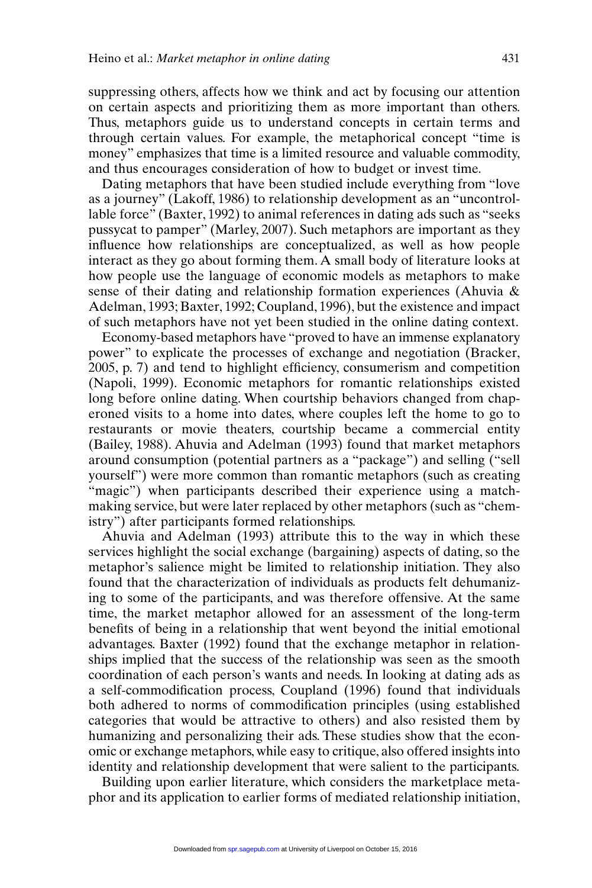suppressing others, affects how we think and act by focusing our attention on certain aspects and prioritizing them as more important than others. Thus, metaphors guide us to understand concepts in certain terms and through certain values. For example, the metaphorical concept "time is money" emphasizes that time is a limited resource and valuable commodity, and thus encourages consideration of how to budget or invest time.

Dating metaphors that have been studied include everything from "love as a journey" (Lakoff, 1986) to relationship development as an "uncontrollable force" (Baxter, 1992) to animal references in dating ads such as "seeks pussycat to pamper" (Marley, 2007). Such metaphors are important as they influence how relationships are conceptualized, as well as how people interact as they go about forming them. A small body of literature looks at how people use the language of economic models as metaphors to make sense of their dating and relationship formation experiences (Ahuvia & Adelman, 1993; Baxter, 1992; Coupland, 1996), but the existence and impact of such metaphors have not yet been studied in the online dating context.

Economy-based metaphors have "proved to have an immense explanatory power" to explicate the processes of exchange and negotiation (Bracker, 2005, p. 7) and tend to highlight efficiency, consumerism and competition (Napoli, 1999). Economic metaphors for romantic relationships existed long before online dating. When courtship behaviors changed from chaperoned visits to a home into dates, where couples left the home to go to restaurants or movie theaters, courtship became a commercial entity (Bailey, 1988). Ahuvia and Adelman (1993) found that market metaphors around consumption (potential partners as a "package") and selling ("sell yourself") were more common than romantic metaphors (such as creating "magic") when participants described their experience using a matchmaking service, but were later replaced by other metaphors (such as "chemistry") after participants formed relationships.

Ahuvia and Adelman (1993) attribute this to the way in which these services highlight the social exchange (bargaining) aspects of dating, so the metaphor's salience might be limited to relationship initiation. They also found that the characterization of individuals as products felt dehumanizing to some of the participants, and was therefore offensive. At the same time, the market metaphor allowed for an assessment of the long-term benefits of being in a relationship that went beyond the initial emotional advantages. Baxter (1992) found that the exchange metaphor in relationships implied that the success of the relationship was seen as the smooth coordination of each person's wants and needs. In looking at dating ads as a self-commodification process, Coupland (1996) found that individuals both adhered to norms of commodification principles (using established categories that would be attractive to others) and also resisted them by humanizing and personalizing their ads. These studies show that the economic or exchange metaphors, while easy to critique, also offered insights into identity and relationship development that were salient to the participants.

Building upon earlier literature, which considers the marketplace metaphor and its application to earlier forms of mediated relationship initiation,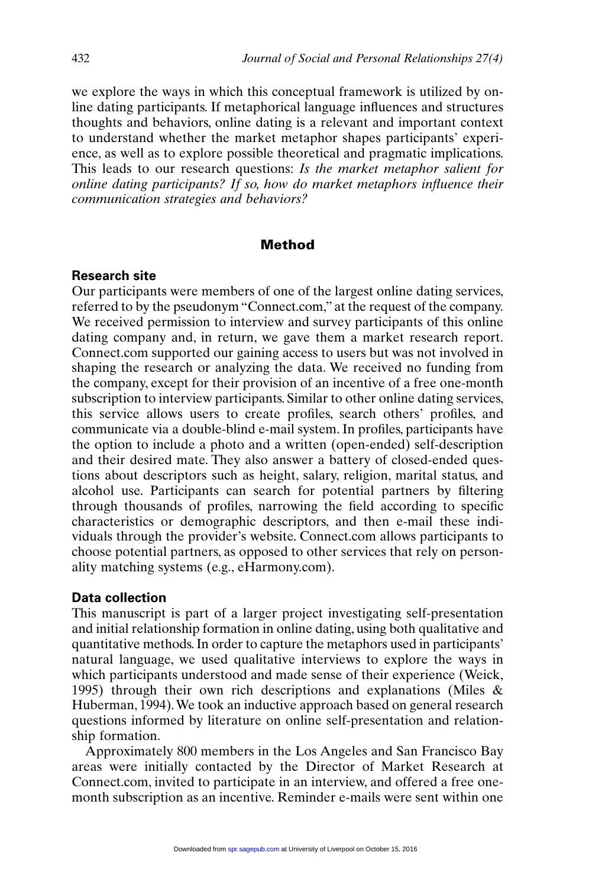we explore the ways in which this conceptual framework is utilized by online dating participants. If metaphorical language influences and structures thoughts and behaviors, online dating is a relevant and important context to understand whether the market metaphor shapes participants' experience, as well as to explore possible theoretical and pragmatic implications. This leads to our research questions: *Is the market metaphor salient for online dating participants? If so, how do market metaphors influence their communication strategies and behaviors?*

#### **Method**

#### **Research site**

Our participants were members of one of the largest online dating services, referred to by the pseudonym "Connect.com," at the request of the company. We received permission to interview and survey participants of this online dating company and, in return, we gave them a market research report. Connect.com supported our gaining access to users but was not involved in shaping the research or analyzing the data. We received no funding from the company, except for their provision of an incentive of a free one-month subscription to interview participants. Similar to other online dating services, this service allows users to create profiles, search others' profiles, and communicate via a double-blind e-mail system. In profiles, participants have the option to include a photo and a written (open-ended) self-description and their desired mate. They also answer a battery of closed-ended questions about descriptors such as height, salary, religion, marital status, and alcohol use. Participants can search for potential partners by filtering through thousands of profiles, narrowing the field according to specific characteristics or demographic descriptors, and then e-mail these individuals through the provider's website. Connect.com allows participants to choose potential partners, as opposed to other services that rely on personality matching systems (e.g., eHarmony.com).

#### **Data collection**

This manuscript is part of a larger project investigating self-presentation and initial relationship formation in online dating, using both qualitative and quantitative methods. In order to capture the metaphors used in participants' natural language, we used qualitative interviews to explore the ways in which participants understood and made sense of their experience (Weick, 1995) through their own rich descriptions and explanations (Miles & Huberman, 1994).We took an inductive approach based on general research questions informed by literature on online self-presentation and relationship formation.

Approximately 800 members in the Los Angeles and San Francisco Bay areas were initially contacted by the Director of Market Research at Connect.com, invited to participate in an interview, and offered a free onemonth subscription as an incentive. Reminder e-mails were sent within one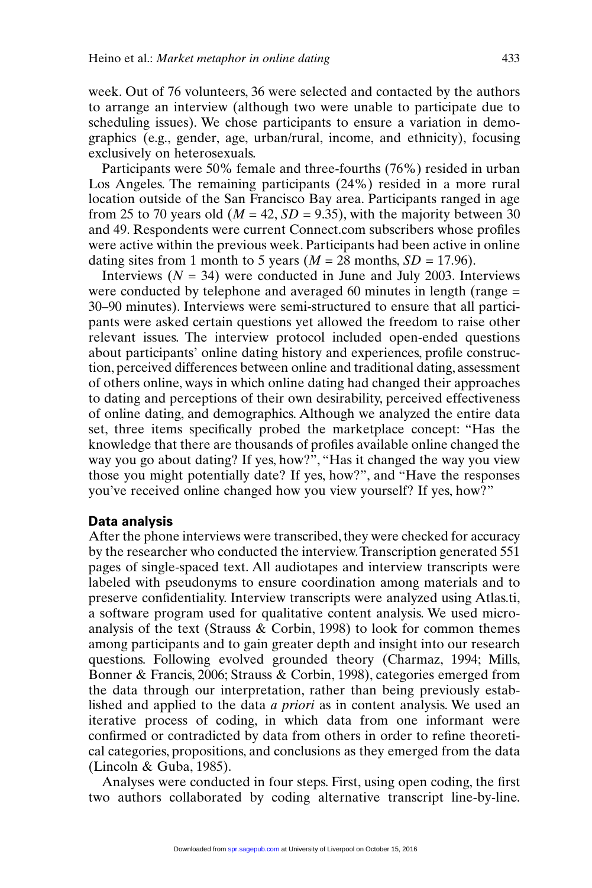week. Out of 76 volunteers, 36 were selected and contacted by the authors to arrange an interview (although two were unable to participate due to scheduling issues). We chose participants to ensure a variation in demographics (e.g., gender, age, urban/rural, income, and ethnicity), focusing exclusively on heterosexuals.

Participants were 50% female and three-fourths (76%) resided in urban Los Angeles. The remaining participants (24%) resided in a more rural location outside of the San Francisco Bay area. Participants ranged in age from 25 to 70 years old ( $M = 42$ ,  $SD = 9.35$ ), with the majority between 30 and 49. Respondents were current Connect.com subscribers whose profiles were active within the previous week. Participants had been active in online dating sites from 1 month to 5 years ( $M = 28$  months,  $SD = 17.96$ ).

Interviews  $(N = 34)$  were conducted in June and July 2003. Interviews were conducted by telephone and averaged 60 minutes in length (range = 30–90 minutes). Interviews were semi-structured to ensure that all participants were asked certain questions yet allowed the freedom to raise other relevant issues. The interview protocol included open-ended questions about participants' online dating history and experiences, profile construction, perceived differences between online and traditional dating, assessment of others online, ways in which online dating had changed their approaches to dating and perceptions of their own desirability, perceived effectiveness of online dating, and demographics. Although we analyzed the entire data set, three items specifically probed the marketplace concept: "Has the knowledge that there are thousands of profiles available online changed the way you go about dating? If yes, how?", "Has it changed the way you view those you might potentially date? If yes, how?", and "Have the responses you've received online changed how you view yourself? If yes, how?"

#### **Data analysis**

After the phone interviews were transcribed, they were checked for accuracy by the researcher who conducted the interview.Transcription generated 551 pages of single-spaced text. All audiotapes and interview transcripts were labeled with pseudonyms to ensure coordination among materials and to preserve confidentiality. Interview transcripts were analyzed using Atlas.ti, a software program used for qualitative content analysis. We used microanalysis of the text (Strauss  $\&$  Corbin, 1998) to look for common themes among participants and to gain greater depth and insight into our research questions. Following evolved grounded theory (Charmaz, 1994; Mills, Bonner & Francis, 2006; Strauss & Corbin, 1998), categories emerged from the data through our interpretation, rather than being previously established and applied to the data *a priori* as in content analysis. We used an iterative process of coding, in which data from one informant were confirmed or contradicted by data from others in order to refine theoretical categories, propositions, and conclusions as they emerged from the data (Lincoln & Guba, 1985).

Analyses were conducted in four steps. First, using open coding, the first two authors collaborated by coding alternative transcript line-by-line.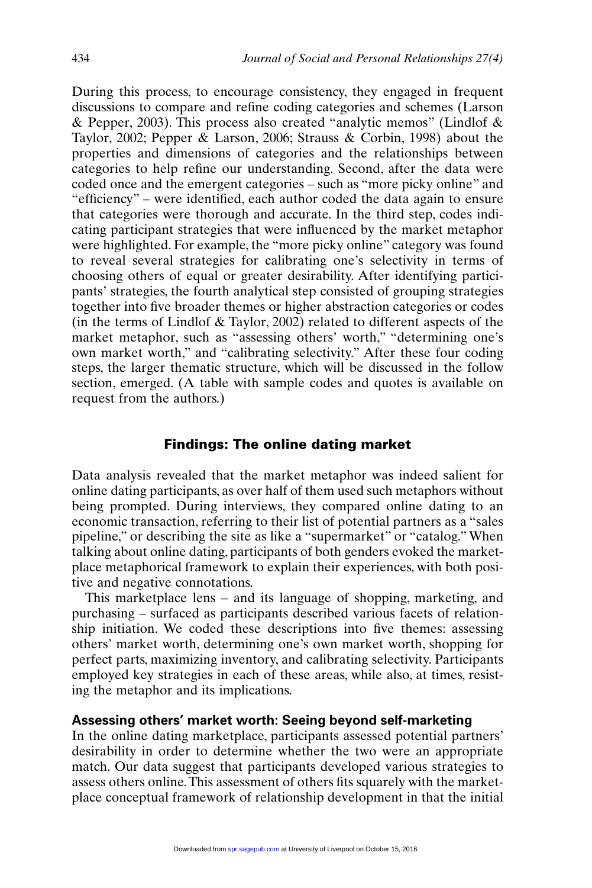During this process, to encourage consistency, they engaged in frequent discussions to compare and refine coding categories and schemes (Larson  $\&$  Pepper, 2003). This process also created "analytic memos" (Lindlof  $\&$ Taylor, 2002; Pepper & Larson, 2006; Strauss & Corbin, 1998) about the properties and dimensions of categories and the relationships between categories to help refine our understanding. Second, after the data were coded once and the emergent categories – such as "more picky online" and "efficiency" – were identified, each author coded the data again to ensure that categories were thorough and accurate. In the third step, codes indicating participant strategies that were influenced by the market metaphor were highlighted. For example, the "more picky online" category was found to reveal several strategies for calibrating one's selectivity in terms of choosing others of equal or greater desirability. After identifying participants' strategies, the fourth analytical step consisted of grouping strategies together into five broader themes or higher abstraction categories or codes (in the terms of Lindlof  $& Taylor, 2002$ ) related to different aspects of the market metaphor, such as "assessing others' worth," "determining one's own market worth," and "calibrating selectivity." After these four coding steps, the larger thematic structure, which will be discussed in the follow section, emerged. (A table with sample codes and quotes is available on request from the authors.)

#### **Findings: The online dating market**

Data analysis revealed that the market metaphor was indeed salient for online dating participants, as over half of them used such metaphors without being prompted. During interviews, they compared online dating to an economic transaction, referring to their list of potential partners as a "sales pipeline," or describing the site as like a "supermarket" or "catalog." When talking about online dating, participants of both genders evoked the marketplace metaphorical framework to explain their experiences, with both positive and negative connotations.

This marketplace lens – and its language of shopping, marketing, and purchasing – surfaced as participants described various facets of relationship initiation. We coded these descriptions into five themes: assessing others' market worth, determining one's own market worth, shopping for perfect parts, maximizing inventory, and calibrating selectivity. Participants employed key strategies in each of these areas, while also, at times, resisting the metaphor and its implications.

#### **Assessing others' market worth: Seeing beyond self-marketing**

In the online dating marketplace, participants assessed potential partners' desirability in order to determine whether the two were an appropriate match. Our data suggest that participants developed various strategies to assess others online.This assessment of others fits squarely with the marketplace conceptual framework of relationship development in that the initial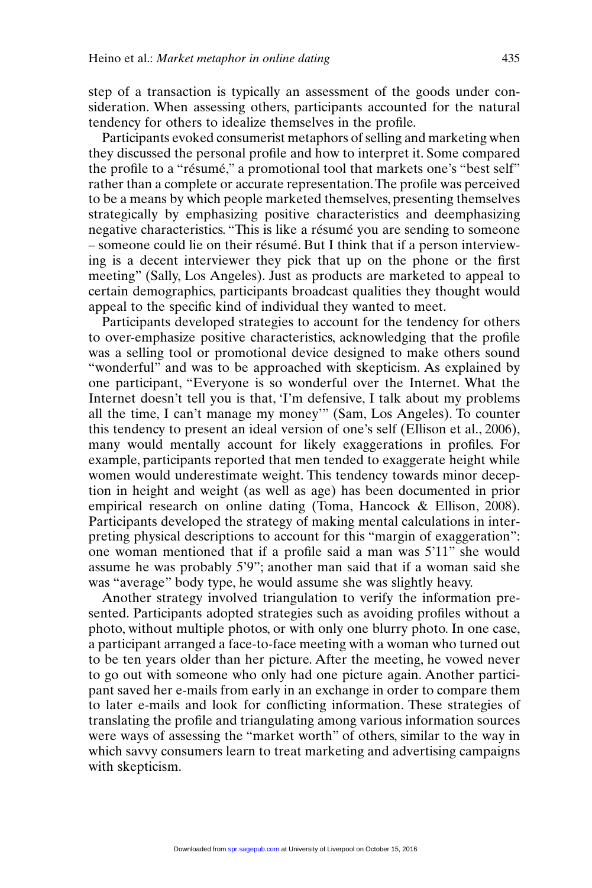step of a transaction is typically an assessment of the goods under consideration. When assessing others, participants accounted for the natural tendency for others to idealize themselves in the profile.

Participants evoked consumerist metaphors of selling and marketing when they discussed the personal profile and how to interpret it. Some compared the profile to a "résumé," a promotional tool that markets one's "best self" rather than a complete or accurate representation.The profile was perceived to be a means by which people marketed themselves, presenting themselves strategically by emphasizing positive characteristics and deemphasizing negative characteristics. "This is like a résumé you are sending to someone – someone could lie on their résumé. But I think that if a person interviewing is a decent interviewer they pick that up on the phone or the first meeting" (Sally, Los Angeles). Just as products are marketed to appeal to certain demographics, participants broadcast qualities they thought would appeal to the specific kind of individual they wanted to meet.

Participants developed strategies to account for the tendency for others to over-emphasize positive characteristics, acknowledging that the profile was a selling tool or promotional device designed to make others sound "wonderful" and was to be approached with skepticism. As explained by one participant, "Everyone is so wonderful over the Internet. What the Internet doesn't tell you is that, 'I'm defensive, I talk about my problems all the time, I can't manage my money'" (Sam, Los Angeles). To counter this tendency to present an ideal version of one's self (Ellison et al., 2006), many would mentally account for likely exaggerations in profiles. For example, participants reported that men tended to exaggerate height while women would underestimate weight. This tendency towards minor deception in height and weight (as well as age) has been documented in prior empirical research on online dating (Toma, Hancock & Ellison, 2008). Participants developed the strategy of making mental calculations in interpreting physical descriptions to account for this "margin of exaggeration": one woman mentioned that if a profile said a man was 5'11" she would assume he was probably 5'9"; another man said that if a woman said she was "average" body type, he would assume she was slightly heavy.

Another strategy involved triangulation to verify the information presented. Participants adopted strategies such as avoiding profiles without a photo, without multiple photos, or with only one blurry photo. In one case, a participant arranged a face-to-face meeting with a woman who turned out to be ten years older than her picture. After the meeting, he vowed never to go out with someone who only had one picture again. Another participant saved her e-mails from early in an exchange in order to compare them to later e-mails and look for conflicting information. These strategies of translating the profile and triangulating among various information sources were ways of assessing the "market worth" of others, similar to the way in which savvy consumers learn to treat marketing and advertising campaigns with skepticism.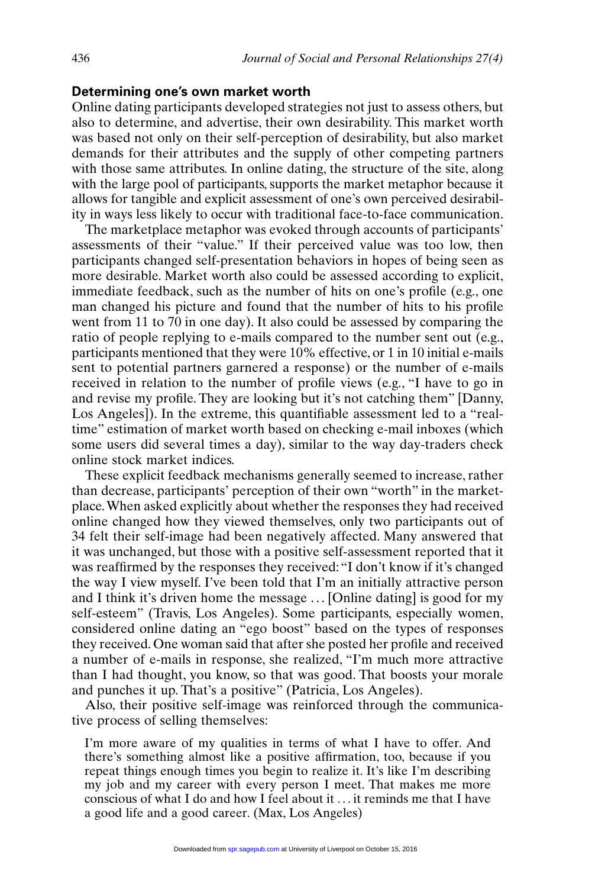#### **Determining one's own market worth**

Online dating participants developed strategies not just to assess others, but also to determine, and advertise, their own desirability. This market worth was based not only on their self-perception of desirability, but also market demands for their attributes and the supply of other competing partners with those same attributes. In online dating, the structure of the site, along with the large pool of participants, supports the market metaphor because it allows for tangible and explicit assessment of one's own perceived desirability in ways less likely to occur with traditional face-to-face communication.

The marketplace metaphor was evoked through accounts of participants' assessments of their "value." If their perceived value was too low, then participants changed self-presentation behaviors in hopes of being seen as more desirable. Market worth also could be assessed according to explicit, immediate feedback, such as the number of hits on one's profile (e.g., one man changed his picture and found that the number of hits to his profile went from 11 to  $70$  in one day). It also could be assessed by comparing the ratio of people replying to e-mails compared to the number sent out (e.g., participants mentioned that they were 10% effective, or 1 in 10 initial e-mails sent to potential partners garnered a response) or the number of e-mails received in relation to the number of profile views (e.g., "I have to go in and revise my profile. They are looking but it's not catching them" [Danny, Los Angeles]). In the extreme, this quantifiable assessment led to a "realtime" estimation of market worth based on checking e-mail inboxes (which some users did several times a day), similar to the way day-traders check online stock market indices.

These explicit feedback mechanisms generally seemed to increase, rather than decrease, participants' perception of their own "worth" in the marketplace.When asked explicitly about whether the responses they had received online changed how they viewed themselves, only two participants out of 34 felt their self-image had been negatively affected. Many answered that it was unchanged, but those with a positive self-assessment reported that it was reaffirmed by the responses they received: "I don't know if it's changed the way I view myself. I've been told that I'm an initially attractive person and I think it's driven home the message . . . [Online dating] is good for my self-esteem" (Travis, Los Angeles). Some participants, especially women, considered online dating an "ego boost" based on the types of responses they received. One woman said that after she posted her profile and received a number of e-mails in response, she realized, "I'm much more attractive than I had thought, you know, so that was good. That boosts your morale and punches it up. That's a positive" (Patricia, Los Angeles).

Also, their positive self-image was reinforced through the communicative process of selling themselves:

I'm more aware of my qualities in terms of what I have to offer. And there's something almost like a positive affirmation, too, because if you repeat things enough times you begin to realize it. It's like I'm describing my job and my career with every person I meet. That makes me more conscious of what I do and how I feel about it . . . it reminds me that I have a good life and a good career. (Max, Los Angeles)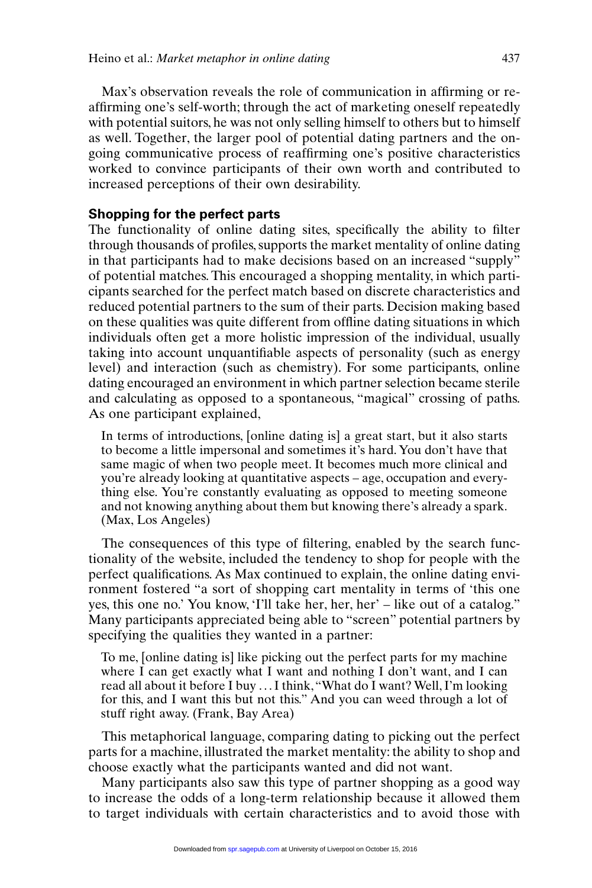Max's observation reveals the role of communication in affirming or reaffirming one's self-worth; through the act of marketing oneself repeatedly with potential suitors, he was not only selling himself to others but to himself as well. Together, the larger pool of potential dating partners and the ongoing communicative process of reaffirming one's positive characteristics worked to convince participants of their own worth and contributed to increased perceptions of their own desirability.

#### **Shopping for the perfect parts**

The functionality of online dating sites, specifically the ability to filter through thousands of profiles, supports the market mentality of online dating in that participants had to make decisions based on an increased "supply" of potential matches. This encouraged a shopping mentality, in which participants searched for the perfect match based on discrete characteristics and reduced potential partners to the sum of their parts. Decision making based on these qualities was quite different from offline dating situations in which individuals often get a more holistic impression of the individual, usually taking into account unquantifiable aspects of personality (such as energy level) and interaction (such as chemistry). For some participants, online dating encouraged an environment in which partner selection became sterile and calculating as opposed to a spontaneous, "magical" crossing of paths. As one participant explained,

In terms of introductions, [online dating is] a great start, but it also starts to become a little impersonal and sometimes it's hard. You don't have that same magic of when two people meet. It becomes much more clinical and you're already looking at quantitative aspects – age, occupation and everything else. You're constantly evaluating as opposed to meeting someone and not knowing anything about them but knowing there's already a spark. (Max, Los Angeles)

The consequences of this type of filtering, enabled by the search functionality of the website, included the tendency to shop for people with the perfect qualifications. As Max continued to explain, the online dating environment fostered "a sort of shopping cart mentality in terms of 'this one yes, this one no.' You know, 'I'll take her, her, her' – like out of a catalog." Many participants appreciated being able to "screen" potential partners by specifying the qualities they wanted in a partner:

To me, [online dating is] like picking out the perfect parts for my machine where I can get exactly what I want and nothing I don't want, and I can read all about it before I buy . . . I think,"What do I want? Well, I'm looking for this, and I want this but not this." And you can weed through a lot of stuff right away. (Frank, Bay Area)

This metaphorical language, comparing dating to picking out the perfect parts for a machine, illustrated the market mentality: the ability to shop and choose exactly what the participants wanted and did not want.

Many participants also saw this type of partner shopping as a good way to increase the odds of a long-term relationship because it allowed them to target individuals with certain characteristics and to avoid those with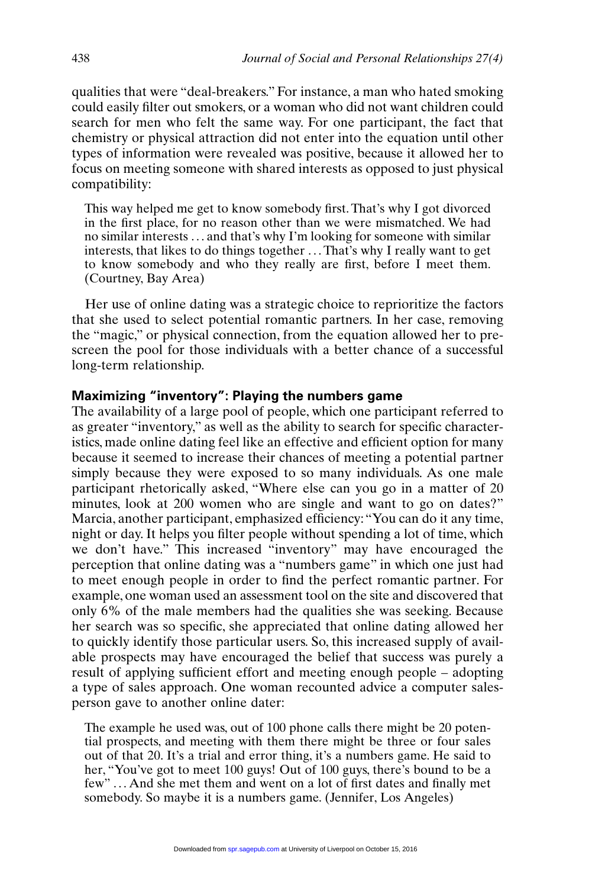qualities that were "deal-breakers." For instance, a man who hated smoking could easily filter out smokers, or a woman who did not want children could search for men who felt the same way. For one participant, the fact that chemistry or physical attraction did not enter into the equation until other types of information were revealed was positive, because it allowed her to focus on meeting someone with shared interests as opposed to just physical compatibility:

This way helped me get to know somebody first. That's why I got divorced in the first place, for no reason other than we were mismatched. We had no similar interests . . . and that's why I'm looking for someone with similar interests, that likes to do things together . . . That's why I really want to get to know somebody and who they really are first, before I meet them. (Courtney, Bay Area)

Her use of online dating was a strategic choice to reprioritize the factors that she used to select potential romantic partners. In her case, removing the "magic," or physical connection, from the equation allowed her to prescreen the pool for those individuals with a better chance of a successful long-term relationship.

#### **Maximizing "inventory": Playing the numbers game**

The availability of a large pool of people, which one participant referred to as greater "inventory," as well as the ability to search for specific characteristics, made online dating feel like an effective and efficient option for many because it seemed to increase their chances of meeting a potential partner simply because they were exposed to so many individuals. As one male participant rhetorically asked, "Where else can you go in a matter of 20 minutes, look at 200 women who are single and want to go on dates?" Marcia, another participant, emphasized efficiency:"You can do it any time, night or day. It helps you filter people without spending a lot of time, which we don't have." This increased "inventory" may have encouraged the perception that online dating was a "numbers game" in which one just had to meet enough people in order to find the perfect romantic partner. For example, one woman used an assessment tool on the site and discovered that only 6% of the male members had the qualities she was seeking. Because her search was so specific, she appreciated that online dating allowed her to quickly identify those particular users. So, this increased supply of available prospects may have encouraged the belief that success was purely a result of applying sufficient effort and meeting enough people – adopting a type of sales approach. One woman recounted advice a computer salesperson gave to another online dater:

The example he used was, out of 100 phone calls there might be 20 potential prospects, and meeting with them there might be three or four sales out of that 20. It's a trial and error thing, it's a numbers game. He said to her, "You've got to meet 100 guys! Out of 100 guys, there's bound to be a few" . . . And she met them and went on a lot of first dates and finally met somebody. So maybe it is a numbers game. (Jennifer, Los Angeles)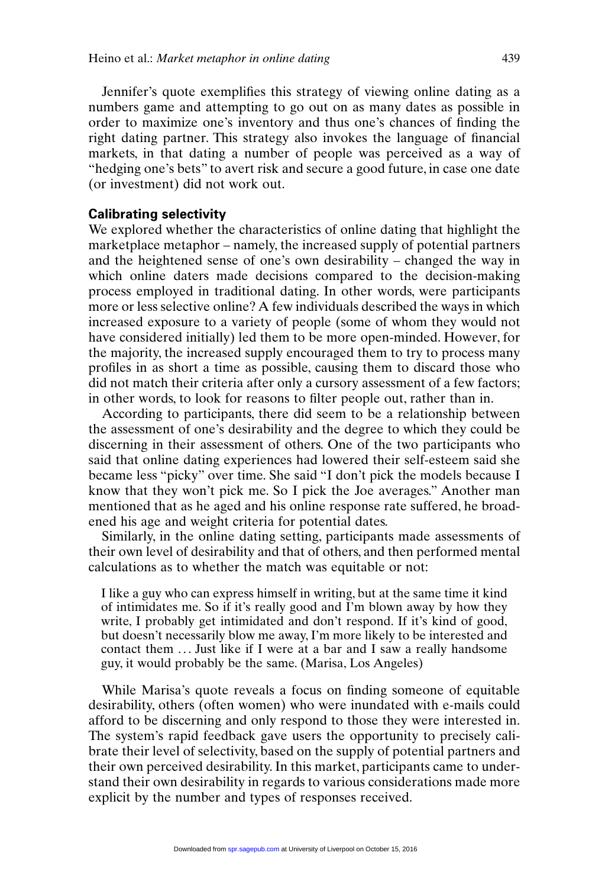Jennifer's quote exemplifies this strategy of viewing online dating as a numbers game and attempting to go out on as many dates as possible in order to maximize one's inventory and thus one's chances of finding the right dating partner. This strategy also invokes the language of financial markets, in that dating a number of people was perceived as a way of "hedging one's bets" to avert risk and secure a good future, in case one date (or investment) did not work out.

#### **Calibrating selectivity**

We explored whether the characteristics of online dating that highlight the marketplace metaphor – namely, the increased supply of potential partners and the heightened sense of one's own desirability – changed the way in which online daters made decisions compared to the decision-making process employed in traditional dating. In other words, were participants more or less selective online? A few individuals described the ways in which increased exposure to a variety of people (some of whom they would not have considered initially) led them to be more open-minded. However, for the majority, the increased supply encouraged them to try to process many profiles in as short a time as possible, causing them to discard those who did not match their criteria after only a cursory assessment of a few factors; in other words, to look for reasons to filter people out, rather than in.

According to participants, there did seem to be a relationship between the assessment of one's desirability and the degree to which they could be discerning in their assessment of others. One of the two participants who said that online dating experiences had lowered their self-esteem said she became less "picky" over time. She said "I don't pick the models because I know that they won't pick me. So I pick the Joe averages." Another man mentioned that as he aged and his online response rate suffered, he broadened his age and weight criteria for potential dates.

Similarly, in the online dating setting, participants made assessments of their own level of desirability and that of others, and then performed mental calculations as to whether the match was equitable or not:

I like a guy who can express himself in writing, but at the same time it kind of intimidates me. So if it's really good and I'm blown away by how they write, I probably get intimidated and don't respond. If it's kind of good, but doesn't necessarily blow me away, I'm more likely to be interested and contact them ... Just like if I were at a bar and I saw a really handsome guy, it would probably be the same. (Marisa, Los Angeles)

While Marisa's quote reveals a focus on finding someone of equitable desirability, others (often women) who were inundated with e-mails could afford to be discerning and only respond to those they were interested in. The system's rapid feedback gave users the opportunity to precisely calibrate their level of selectivity, based on the supply of potential partners and their own perceived desirability. In this market, participants came to understand their own desirability in regards to various considerations made more explicit by the number and types of responses received.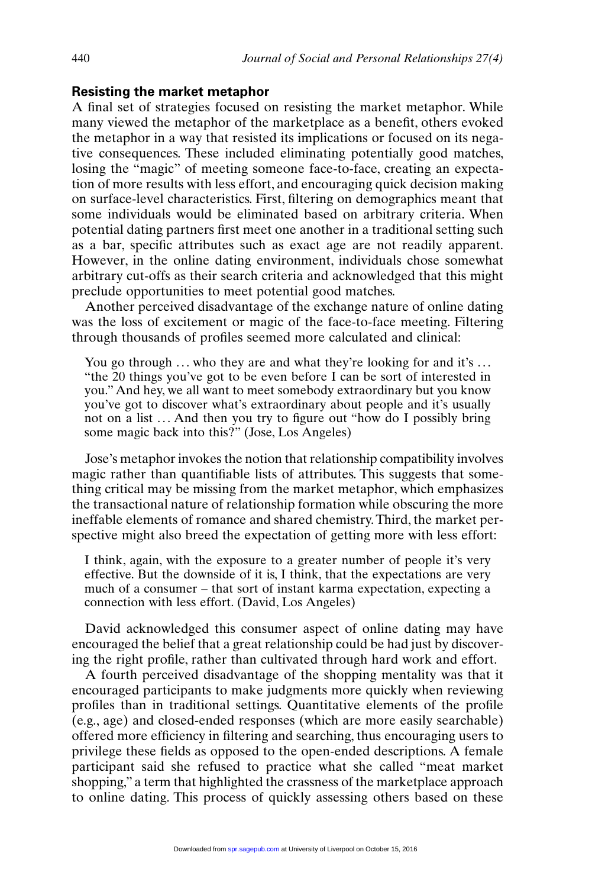#### **Resisting the market metaphor**

A final set of strategies focused on resisting the market metaphor. While many viewed the metaphor of the marketplace as a benefit, others evoked the metaphor in a way that resisted its implications or focused on its negative consequences. These included eliminating potentially good matches, losing the "magic" of meeting someone face-to-face, creating an expectation of more results with less effort, and encouraging quick decision making on surface-level characteristics. First, filtering on demographics meant that some individuals would be eliminated based on arbitrary criteria. When potential dating partners first meet one another in a traditional setting such as a bar, specific attributes such as exact age are not readily apparent. However, in the online dating environment, individuals chose somewhat arbitrary cut-offs as their search criteria and acknowledged that this might preclude opportunities to meet potential good matches.

Another perceived disadvantage of the exchange nature of online dating was the loss of excitement or magic of the face-to-face meeting. Filtering through thousands of profiles seemed more calculated and clinical:

You go through  $\ldots$  who they are and what they're looking for and it's  $\ldots$ "the 20 things you've got to be even before I can be sort of interested in you." And hey, we all want to meet somebody extraordinary but you know you've got to discover what's extraordinary about people and it's usually not on a list ... And then you try to figure out "how do I possibly bring some magic back into this?" (Jose, Los Angeles)

Jose's metaphor invokes the notion that relationship compatibility involves magic rather than quantifiable lists of attributes. This suggests that something critical may be missing from the market metaphor, which emphasizes the transactional nature of relationship formation while obscuring the more ineffable elements of romance and shared chemistry. Third, the market perspective might also breed the expectation of getting more with less effort:

I think, again, with the exposure to a greater number of people it's very effective. But the downside of it is, I think, that the expectations are very much of a consumer – that sort of instant karma expectation, expecting a connection with less effort. (David, Los Angeles)

David acknowledged this consumer aspect of online dating may have encouraged the belief that a great relationship could be had just by discovering the right profile, rather than cultivated through hard work and effort.

A fourth perceived disadvantage of the shopping mentality was that it encouraged participants to make judgments more quickly when reviewing profiles than in traditional settings. Quantitative elements of the profile (e.g., age) and closed-ended responses (which are more easily searchable) offered more efficiency in filtering and searching, thus encouraging users to privilege these fields as opposed to the open-ended descriptions. A female participant said she refused to practice what she called "meat market shopping," a term that highlighted the crassness of the marketplace approach to online dating. This process of quickly assessing others based on these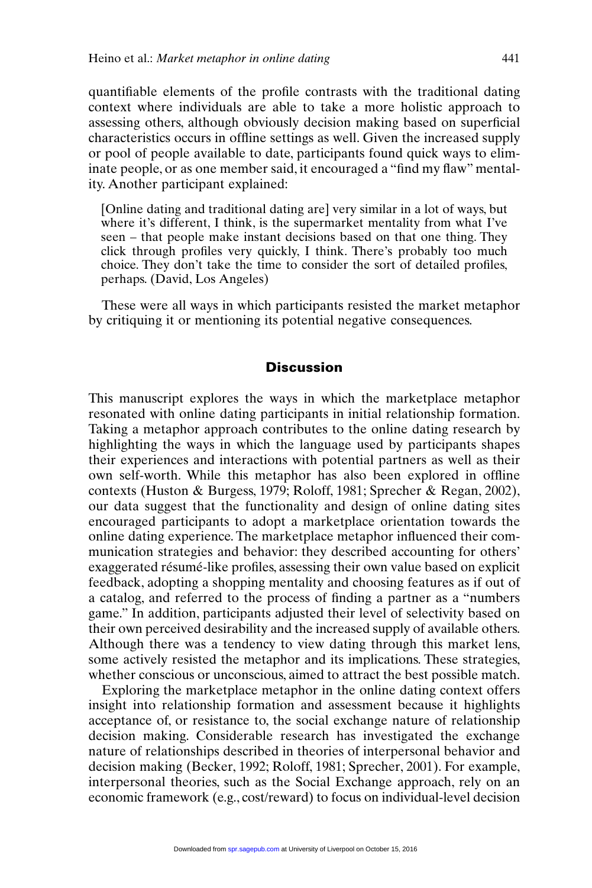quantifiable elements of the profile contrasts with the traditional dating context where individuals are able to take a more holistic approach to assessing others, although obviously decision making based on superficial characteristics occurs in offline settings as well. Given the increased supply or pool of people available to date, participants found quick ways to eliminate people, or as one member said, it encouraged a "find my flaw" mentality. Another participant explained:

[Online dating and traditional dating are] very similar in a lot of ways, but where it's different, I think, is the supermarket mentality from what I've seen – that people make instant decisions based on that one thing. They click through profiles very quickly, I think. There's probably too much choice. They don't take the time to consider the sort of detailed profiles, perhaps. (David, Los Angeles)

These were all ways in which participants resisted the market metaphor by critiquing it or mentioning its potential negative consequences.

#### **Discussion**

This manuscript explores the ways in which the marketplace metaphor resonated with online dating participants in initial relationship formation. Taking a metaphor approach contributes to the online dating research by highlighting the ways in which the language used by participants shapes their experiences and interactions with potential partners as well as their own self-worth. While this metaphor has also been explored in offline contexts (Huston & Burgess, 1979; Roloff, 1981; Sprecher & Regan, 2002), our data suggest that the functionality and design of online dating sites encouraged participants to adopt a marketplace orientation towards the online dating experience. The marketplace metaphor influenced their communication strategies and behavior: they described accounting for others' exaggerated résumé-like profiles, assessing their own value based on explicit feedback, adopting a shopping mentality and choosing features as if out of a catalog, and referred to the process of finding a partner as a "numbers game." In addition, participants adjusted their level of selectivity based on their own perceived desirability and the increased supply of available others. Although there was a tendency to view dating through this market lens, some actively resisted the metaphor and its implications. These strategies, whether conscious or unconscious, aimed to attract the best possible match.

Exploring the marketplace metaphor in the online dating context offers insight into relationship formation and assessment because it highlights acceptance of, or resistance to, the social exchange nature of relationship decision making. Considerable research has investigated the exchange nature of relationships described in theories of interpersonal behavior and decision making (Becker, 1992; Roloff, 1981; Sprecher, 2001). For example, interpersonal theories, such as the Social Exchange approach, rely on an economic framework (e.g., cost/reward) to focus on individual-level decision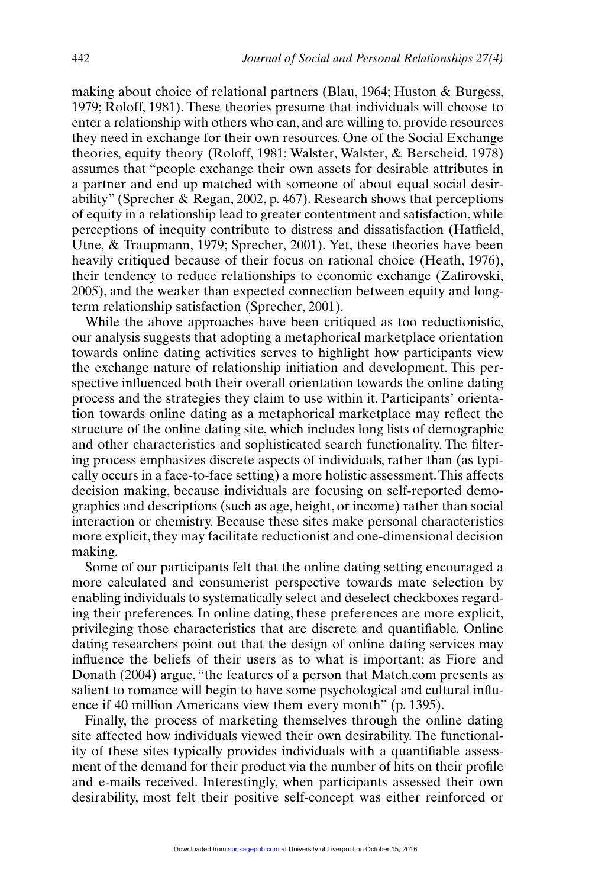making about choice of relational partners (Blau, 1964; Huston & Burgess, 1979; Roloff, 1981). These theories presume that individuals will choose to enter a relationship with others who can, and are willing to, provide resources they need in exchange for their own resources. One of the Social Exchange theories, equity theory (Roloff, 1981; Walster, Walster, & Berscheid, 1978) assumes that "people exchange their own assets for desirable attributes in a partner and end up matched with someone of about equal social desirability" (Sprecher & Regan, 2002, p. 467). Research shows that perceptions of equity in a relationship lead to greater contentment and satisfaction, while perceptions of inequity contribute to distress and dissatisfaction (Hatfield, Utne, & Traupmann, 1979; Sprecher, 2001). Yet, these theories have been heavily critiqued because of their focus on rational choice (Heath, 1976), their tendency to reduce relationships to economic exchange (Zafirovski, 2005), and the weaker than expected connection between equity and longterm relationship satisfaction (Sprecher, 2001).

While the above approaches have been critiqued as too reductionistic, our analysis suggests that adopting a metaphorical marketplace orientation towards online dating activities serves to highlight how participants view the exchange nature of relationship initiation and development. This perspective influenced both their overall orientation towards the online dating process and the strategies they claim to use within it. Participants' orientation towards online dating as a metaphorical marketplace may reflect the structure of the online dating site, which includes long lists of demographic and other characteristics and sophisticated search functionality. The filtering process emphasizes discrete aspects of individuals, rather than (as typically occurs in a face-to-face setting) a more holistic assessment.This affects decision making, because individuals are focusing on self-reported demographics and descriptions (such as age, height, or income) rather than social interaction or chemistry. Because these sites make personal characteristics more explicit, they may facilitate reductionist and one-dimensional decision making.

Some of our participants felt that the online dating setting encouraged a more calculated and consumerist perspective towards mate selection by enabling individuals to systematically select and deselect checkboxes regarding their preferences. In online dating, these preferences are more explicit, privileging those characteristics that are discrete and quantifiable. Online dating researchers point out that the design of online dating services may influence the beliefs of their users as to what is important; as Fiore and Donath (2004) argue, "the features of a person that Match.com presents as salient to romance will begin to have some psychological and cultural influence if 40 million Americans view them every month" (p. 1395).

Finally, the process of marketing themselves through the online dating site affected how individuals viewed their own desirability. The functionality of these sites typically provides individuals with a quantifiable assessment of the demand for their product via the number of hits on their profile and e-mails received. Interestingly, when participants assessed their own desirability, most felt their positive self-concept was either reinforced or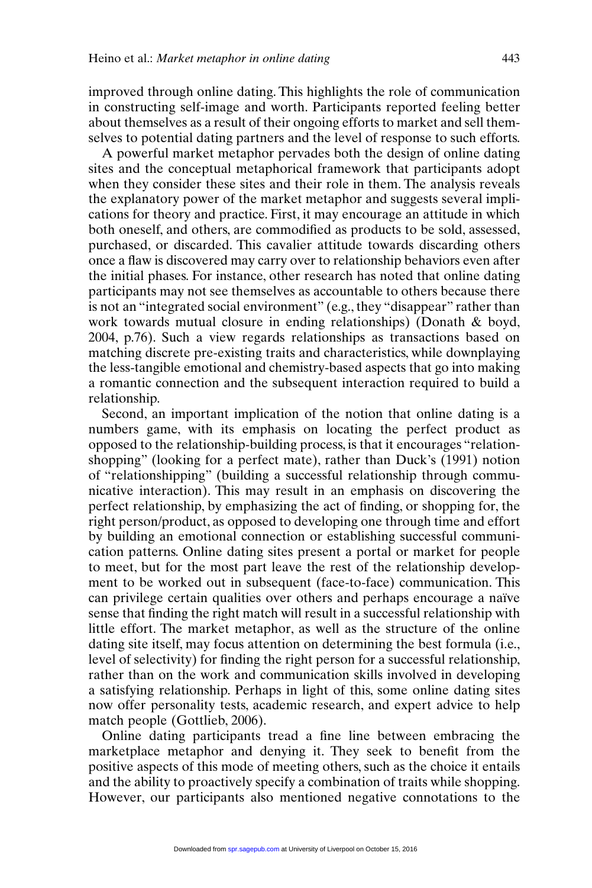improved through online dating. This highlights the role of communication in constructing self-image and worth. Participants reported feeling better about themselves as a result of their ongoing efforts to market and sell themselves to potential dating partners and the level of response to such efforts.

A powerful market metaphor pervades both the design of online dating sites and the conceptual metaphorical framework that participants adopt when they consider these sites and their role in them. The analysis reveals the explanatory power of the market metaphor and suggests several implications for theory and practice. First, it may encourage an attitude in which both oneself, and others, are commodified as products to be sold, assessed, purchased, or discarded. This cavalier attitude towards discarding others once a flaw is discovered may carry over to relationship behaviors even after the initial phases. For instance, other research has noted that online dating participants may not see themselves as accountable to others because there is not an "integrated social environment" (e.g., they "disappear" rather than work towards mutual closure in ending relationships) (Donath & boyd, 2004, p.76). Such a view regards relationships as transactions based on matching discrete pre-existing traits and characteristics, while downplaying the less-tangible emotional and chemistry-based aspects that go into making a romantic connection and the subsequent interaction required to build a relationship.

Second, an important implication of the notion that online dating is a numbers game, with its emphasis on locating the perfect product as opposed to the relationship-building process, is that it encourages "relationshopping" (looking for a perfect mate), rather than Duck's (1991) notion of "relationshipping" (building a successful relationship through communicative interaction). This may result in an emphasis on discovering the perfect relationship, by emphasizing the act of finding, or shopping for, the right person/product, as opposed to developing one through time and effort by building an emotional connection or establishing successful communication patterns. Online dating sites present a portal or market for people to meet, but for the most part leave the rest of the relationship development to be worked out in subsequent (face-to-face) communication. This can privilege certain qualities over others and perhaps encourage a naïve sense that finding the right match will result in a successful relationship with little effort. The market metaphor, as well as the structure of the online dating site itself, may focus attention on determining the best formula (i.e., level of selectivity) for finding the right person for a successful relationship, rather than on the work and communication skills involved in developing a satisfying relationship. Perhaps in light of this, some online dating sites now offer personality tests, academic research, and expert advice to help match people (Gottlieb, 2006).

Online dating participants tread a fine line between embracing the marketplace metaphor and denying it. They seek to benefit from the positive aspects of this mode of meeting others, such as the choice it entails and the ability to proactively specify a combination of traits while shopping. However, our participants also mentioned negative connotations to the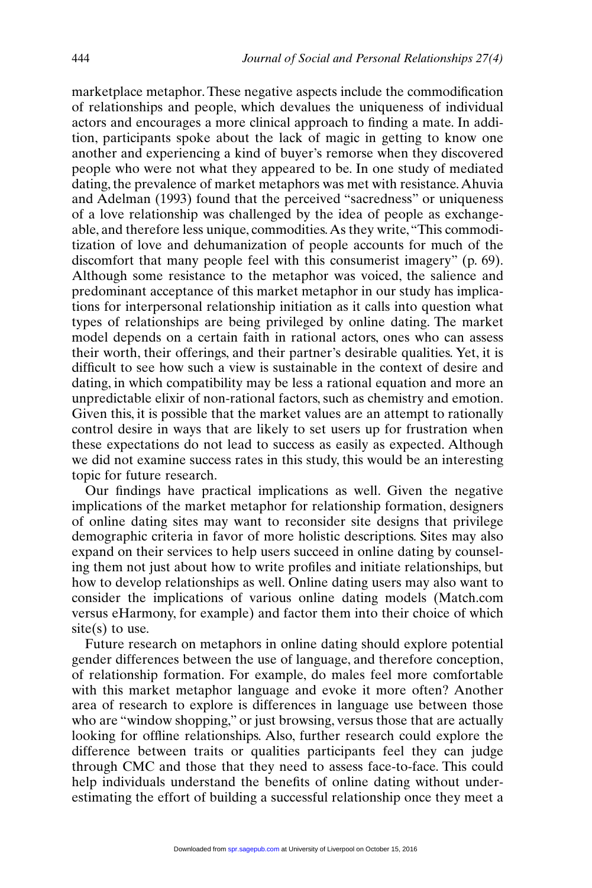marketplace metaphor. These negative aspects include the commodification of relationships and people, which devalues the uniqueness of individual actors and encourages a more clinical approach to finding a mate. In addition, participants spoke about the lack of magic in getting to know one another and experiencing a kind of buyer's remorse when they discovered people who were not what they appeared to be. In one study of mediated dating, the prevalence of market metaphors was met with resistance.Ahuvia and Adelman (1993) found that the perceived "sacredness" or uniqueness of a love relationship was challenged by the idea of people as exchangeable, and therefore less unique, commodities.As they write,"This commoditization of love and dehumanization of people accounts for much of the discomfort that many people feel with this consumerist imagery" (p. 69). Although some resistance to the metaphor was voiced, the salience and predominant acceptance of this market metaphor in our study has implications for interpersonal relationship initiation as it calls into question what types of relationships are being privileged by online dating. The market model depends on a certain faith in rational actors, ones who can assess their worth, their offerings, and their partner's desirable qualities. Yet, it is difficult to see how such a view is sustainable in the context of desire and dating, in which compatibility may be less a rational equation and more an unpredictable elixir of non-rational factors, such as chemistry and emotion. Given this, it is possible that the market values are an attempt to rationally control desire in ways that are likely to set users up for frustration when these expectations do not lead to success as easily as expected. Although we did not examine success rates in this study, this would be an interesting topic for future research.

Our findings have practical implications as well. Given the negative implications of the market metaphor for relationship formation, designers of online dating sites may want to reconsider site designs that privilege demographic criteria in favor of more holistic descriptions. Sites may also expand on their services to help users succeed in online dating by counseling them not just about how to write profiles and initiate relationships, but how to develop relationships as well. Online dating users may also want to consider the implications of various online dating models (Match.com versus eHarmony, for example) and factor them into their choice of which  $site(s)$  to use.

Future research on metaphors in online dating should explore potential gender differences between the use of language, and therefore conception, of relationship formation. For example, do males feel more comfortable with this market metaphor language and evoke it more often? Another area of research to explore is differences in language use between those who are "window shopping," or just browsing, versus those that are actually looking for offline relationships. Also, further research could explore the difference between traits or qualities participants feel they can judge through CMC and those that they need to assess face-to-face. This could help individuals understand the benefits of online dating without underestimating the effort of building a successful relationship once they meet a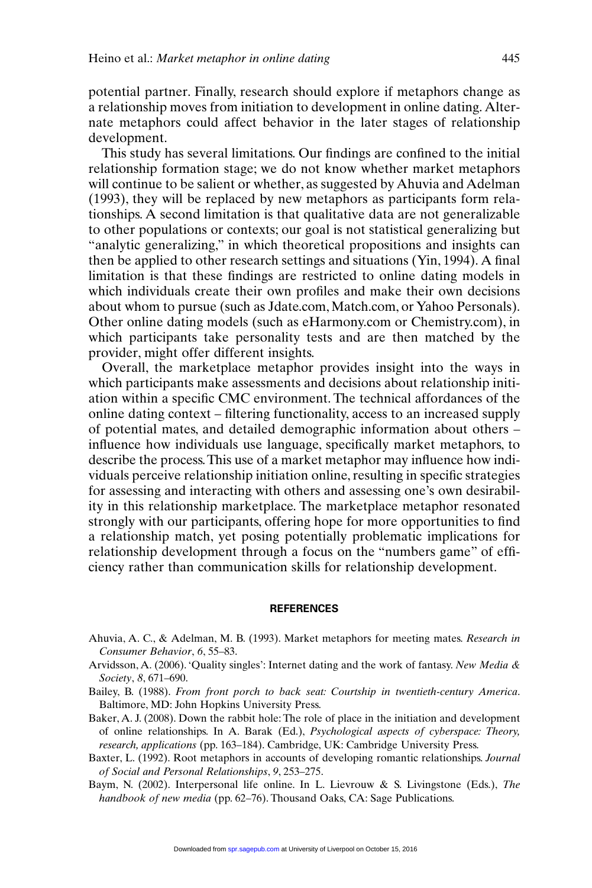potential partner. Finally, research should explore if metaphors change as a relationship moves from initiation to development in online dating. Alternate metaphors could affect behavior in the later stages of relationship development.

This study has several limitations. Our findings are confined to the initial relationship formation stage; we do not know whether market metaphors will continue to be salient or whether, as suggested by Ahuvia and Adelman (1993), they will be replaced by new metaphors as participants form relationships. A second limitation is that qualitative data are not generalizable to other populations or contexts; our goal is not statistical generalizing but "analytic generalizing," in which theoretical propositions and insights can then be applied to other research settings and situations (Yin, 1994). A final limitation is that these findings are restricted to online dating models in which individuals create their own profiles and make their own decisions about whom to pursue (such as Jdate.com, Match.com, or Yahoo Personals). Other online dating models (such as eHarmony.com or Chemistry.com), in which participants take personality tests and are then matched by the provider, might offer different insights.

Overall, the marketplace metaphor provides insight into the ways in which participants make assessments and decisions about relationship initiation within a specific CMC environment. The technical affordances of the online dating context – filtering functionality, access to an increased supply of potential mates, and detailed demographic information about others – influence how individuals use language, specifically market metaphors, to describe the process.This use of a market metaphor may influence how individuals perceive relationship initiation online, resulting in specific strategies for assessing and interacting with others and assessing one's own desirability in this relationship marketplace. The marketplace metaphor resonated strongly with our participants, offering hope for more opportunities to find a relationship match, yet posing potentially problematic implications for relationship development through a focus on the "numbers game" of efficiency rather than communication skills for relationship development.

#### **REFERENCES**

- Ahuvia, A. C., & Adelman, M. B. (1993). Market metaphors for meeting mates. *Research in Consumer Behavior*, *6*, 55–83.
- Arvidsson, A. (2006). 'Quality singles': Internet dating and the work of fantasy. *New Media & Society*, *8*, 671–690.
- Bailey, B. (1988). *From front porch to back seat: Courtship in twentieth-century America*. Baltimore, MD: John Hopkins University Press.
- Baker, A. J. (2008). Down the rabbit hole: The role of place in the initiation and development of online relationships. In A. Barak (Ed.), *Psychological aspects of cyberspace: Theory, research, applications* (pp. 163–184). Cambridge, UK: Cambridge University Press.
- Baxter, L. (1992). Root metaphors in accounts of developing romantic relationships. *Journal of Social and Personal Relationships*, *9*, 253–275.
- Baym, N. (2002). Interpersonal life online. In L. Lievrouw & S. Livingstone (Eds.), *The handbook of new media* (pp. 62–76). Thousand Oaks, CA: Sage Publications.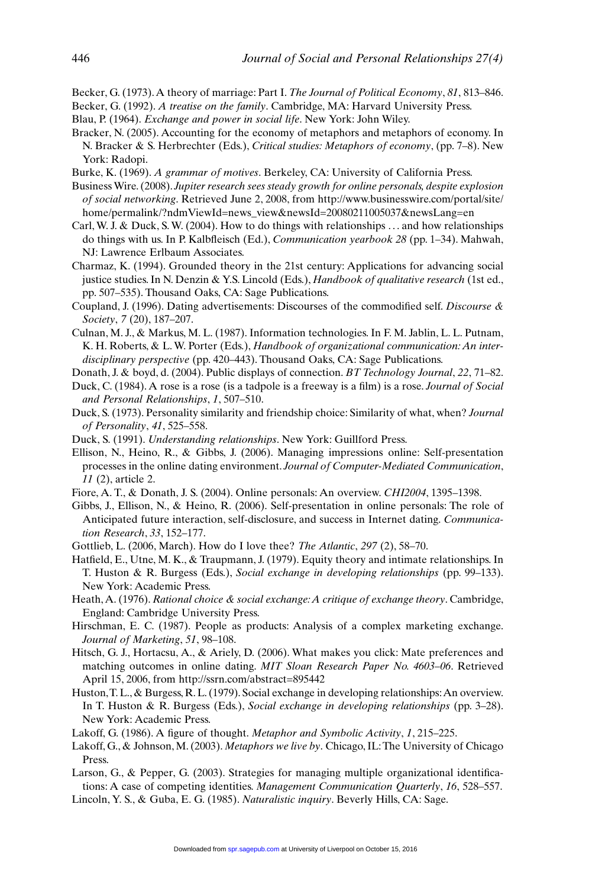- Becker, G. (1973). A theory of marriage: Part I. *The Journal of Political Economy*, *81*, 813–846.
- Becker, G. (1992). *A treatise on the family*. Cambridge, MA: Harvard University Press.
- Blau, P. (1964). *Exchange and power in social life*. New York: John Wiley.
- Bracker, N. (2005). Accounting for the economy of metaphors and metaphors of economy. In N. Bracker & S. Herbrechter (Eds.), *Critical studies: Metaphors of economy*, (pp. 7–8). New York: Radopi.
- Burke, K. (1969). *A grammar of motives*. Berkeley, CA: University of California Press.
- Business Wire. (2008). *Jupiter research sees steady growth for online personals, despite explosion of social networking*. Retrieved June 2, 2008, from http://www.businesswire.com/portal/site/ home/permalink/?ndmViewId=news\_view&newsId=20080211005037&newsLang=en
- Carl, W. J. & Duck, S. W. (2004). How to do things with relationships ... and how relationships do things with us. In P. Kalbfleisch (Ed.), *Communication yearbook 28* (pp. 1–34). Mahwah, NJ: Lawrence Erlbaum Associates.
- Charmaz, K. (1994). Grounded theory in the 21st century: Applications for advancing social justice studies. In N. Denzin & Y.S. Lincold (Eds.), *Handbook of qualitative research* (1st ed., pp. 507–535). Thousand Oaks, CA: Sage Publications.
- Coupland, J. (1996). Dating advertisements: Discourses of the commodified self. *Discourse & Society*, *7* (20), 187–207.
- Culnan, M. J., & Markus, M. L. (1987). Information technologies. In F. M. Jablin, L. L. Putnam, K. H. Roberts, & L. W. Porter (Eds.), *Handbook of organizational communication: An interdisciplinary perspective* (pp. 420–443). Thousand Oaks, CA: Sage Publications.
- Donath, J. & boyd, d. (2004). Public displays of connection. *BT Technology Journal*, *22*, 71–82.
- Duck, C. (1984). A rose is a rose (is a tadpole is a freeway is a film) is a rose. *Journal of Social and Personal Relationships*, *1*, 507–510.
- Duck, S. (1973). Personality similarity and friendship choice: Similarity of what, when? *Journal of Personality*, *41*, 525–558.
- Duck, S. (1991). *Understanding relationships*. New York: Guillford Press.
- Ellison, N., Heino, R., & Gibbs, J. (2006). Managing impressions online: Self-presentation processes in the online dating environment. *Journal of Computer-Mediated Communication*, *11* (2), article 2.
- Fiore, A. T., & Donath, J. S. (2004). Online personals: An overview. *CHI2004*, 1395–1398.
- Gibbs, J., Ellison, N., & Heino, R. (2006). Self-presentation in online personals: The role of Anticipated future interaction, self-disclosure, and success in Internet dating. *Communication Research*, *33*, 152–177.
- Gottlieb, L. (2006, March). How do I love thee? *The Atlantic*, *297* (2), 58–70.
- Hatfield, E., Utne, M. K., & Traupmann, J. (1979). Equity theory and intimate relationships. In T. Huston & R. Burgess (Eds.), *Social exchange in developing relationships* (pp. 99–133). New York: Academic Press.
- Heath, A. (1976). *Rational choice & social exchange: A critique of exchange theory*. Cambridge, England: Cambridge University Press.
- Hirschman, E. C. (1987). People as products: Analysis of a complex marketing exchange. *Journal of Marketing*, *51*, 98–108.
- Hitsch, G. J., Hortacsu, A., & Ariely, D. (2006). What makes you click: Mate preferences and matching outcomes in online dating. *MIT Sloan Research Paper No. 4603–06*. Retrieved April 15, 2006, from http://ssrn.com/abstract=895442
- Huston, T. L., & Burgess, R. L. (1979). Social exchange in developing relationships: An overview. In T. Huston & R. Burgess (Eds.), *Social exchange in developing relationships* (pp. 3–28). New York: Academic Press.
- Lakoff, G. (1986). A figure of thought. *Metaphor and Symbolic Activity*, *1*, 215–225.
- Lakoff, G., & Johnson, M. (2003). *Metaphors we live by*. Chicago, IL:The University of Chicago Press.
- Larson, G., & Pepper, G. (2003). Strategies for managing multiple organizational identifications: A case of competing identities. *Management Communication Quarterly*, *16*, 528–557.
- Lincoln, Y. S., & Guba, E. G. (1985). *Naturalistic inquiry*. Beverly Hills, CA: Sage.